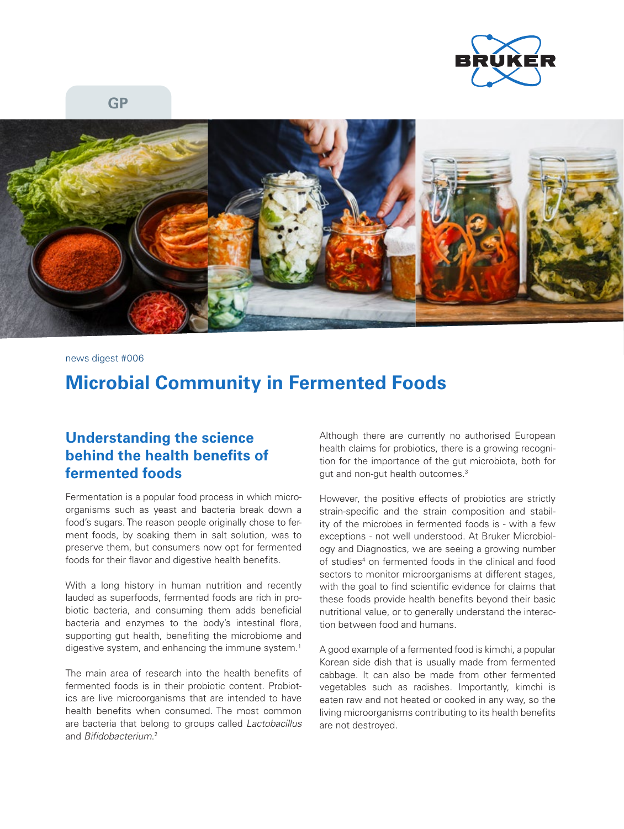

**GP**



news digest #006

## **Microbial Community in Fermented Foods**

## **Understanding the science behind the health benefits of fermented foods**

Fermentation is a popular food process in which microorganisms such as yeast and bacteria break down a food's sugars. The reason people originally chose to ferment foods, by soaking them in salt solution, was to preserve them, but consumers now opt for fermented foods for their flavor and digestive health benefits.

With a long history in human nutrition and recently lauded as superfoods, fermented foods are rich in probiotic bacteria, and consuming them adds beneficial bacteria and enzymes to the body's intestinal flora, supporting gut health, benefiting the microbiome and digestive system, and enhancing the immune system.<sup>1</sup>

The main area of research into the health benefits of fermented foods is in their probiotic content. Probiotics are live microorganisms that are intended to have health benefits when consumed. The most common are bacteria that belong to groups called *Lactobacillus* and *Bifidobacterium*. 2

Although there are currently no authorised European health claims for probiotics, there is a growing recognition for the importance of the gut microbiota, both for gut and non-gut health outcomes.3

However, the positive effects of probiotics are strictly strain-specific and the strain composition and stability of the microbes in fermented foods is - with a few exceptions - not well understood. At Bruker Microbiology and Diagnostics, we are seeing a growing number of studies<sup>4</sup> on fermented foods in the clinical and food sectors to monitor microorganisms at different stages, with the goal to find scientific evidence for claims that these foods provide health benefits beyond their basic nutritional value, or to generally understand the interaction between food and humans.

A good example of a fermented food is kimchi, a popular Korean side dish that is usually made from fermented cabbage. It can also be made from other fermented vegetables such as radishes. Importantly, kimchi is eaten raw and not heated or cooked in any way, so the living microorganisms contributing to its health benefits are not destroyed.